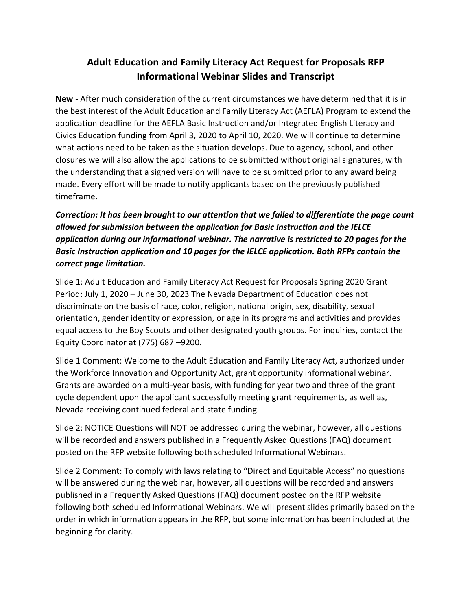## **Adult Education and Family Literacy Act Request for Proposals RFP Informational Webinar Slides and Transcript**

**New -** After much consideration of the current circumstances we have determined that it is in the best interest of the Adult Education and Family Literacy Act (AEFLA) Program to extend the application deadline for the AEFLA Basic Instruction and/or Integrated English Literacy and Civics Education funding from April 3, 2020 to April 10, 2020. We will continue to determine what actions need to be taken as the situation develops. Due to agency, school, and other closures we will also allow the applications to be submitted without original signatures, with the understanding that a signed version will have to be submitted prior to any award being made. Every effort will be made to notify applicants based on the previously published timeframe.

*Correction: It has been brought to our attention that we failed to differentiate the page count allowed for submission between the application for Basic Instruction and the IELCE application during our informational webinar. The narrative is restricted to 20 pages for the Basic Instruction application and 10 pages for the IELCE application. Both RFPs contain the correct page limitation.* 

Slide 1: Adult Education and Family Literacy Act Request for Proposals Spring 2020 Grant Period: July 1, 2020 – June 30, 2023 The Nevada Department of Education does not discriminate on the basis of race, color, religion, national origin, sex, disability, sexual orientation, gender identity or expression, or age in its programs and activities and provides equal access to the Boy Scouts and other designated youth groups. For inquiries, contact the Equity Coordinator at (775) 687 –9200.

Slide 1 Comment: Welcome to the Adult Education and Family Literacy Act, authorized under the Workforce Innovation and Opportunity Act, grant opportunity informational webinar. Grants are awarded on a multi-year basis, with funding for year two and three of the grant cycle dependent upon the applicant successfully meeting grant requirements, as well as, Nevada receiving continued federal and state funding.

Slide 2: NOTICE Questions will NOT be addressed during the webinar, however, all questions will be recorded and answers published in a Frequently Asked Questions (FAQ) document posted on the RFP website following both scheduled Informational Webinars.

Slide 2 Comment: To comply with laws relating to "Direct and Equitable Access" no questions will be answered during the webinar, however, all questions will be recorded and answers published in a Frequently Asked Questions (FAQ) document posted on the RFP website following both scheduled Informational Webinars. We will present slides primarily based on the order in which information appears in the RFP, but some information has been included at the beginning for clarity.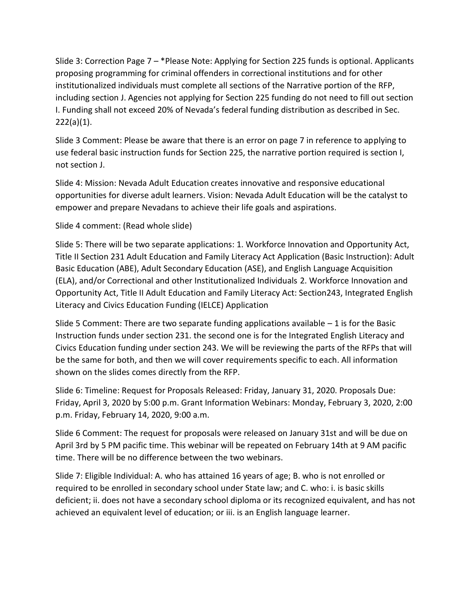Slide 3: Correction Page 7 – \*Please Note: Applying for Section 225 funds is optional. Applicants proposing programming for criminal offenders in correctional institutions and for other institutionalized individuals must complete all sections of the Narrative portion of the RFP, including section J. Agencies not applying for Section 225 funding do not need to fill out section I. Funding shall not exceed 20% of Nevada's federal funding distribution as described in Sec.  $222(a)(1)$ .

Slide 3 Comment: Please be aware that there is an error on page 7 in reference to applying to use federal basic instruction funds for Section 225, the narrative portion required is section I, not section J.

Slide 4: Mission: Nevada Adult Education creates innovative and responsive educational opportunities for diverse adult learners. Vision: Nevada Adult Education will be the catalyst to empower and prepare Nevadans to achieve their life goals and aspirations.

Slide 4 comment: (Read whole slide)

Slide 5: There will be two separate applications: 1. Workforce Innovation and Opportunity Act, Title II Section 231 Adult Education and Family Literacy Act Application (Basic Instruction): Adult Basic Education (ABE), Adult Secondary Education (ASE), and English Language Acquisition (ELA), and/or Correctional and other Institutionalized Individuals 2. Workforce Innovation and Opportunity Act, Title II Adult Education and Family Literacy Act: Section243, Integrated English Literacy and Civics Education Funding (IELCE) Application

Slide 5 Comment: There are two separate funding applications available  $-1$  is for the Basic Instruction funds under section 231. the second one is for the Integrated English Literacy and Civics Education funding under section 243. We will be reviewing the parts of the RFPs that will be the same for both, and then we will cover requirements specific to each. All information shown on the slides comes directly from the RFP.

Slide 6: Timeline: Request for Proposals Released: Friday, January 31, 2020. Proposals Due: Friday, April 3, 2020 by 5:00 p.m. Grant Information Webinars: Monday, February 3, 2020, 2:00 p.m. Friday, February 14, 2020, 9:00 a.m.

Slide 6 Comment: The request for proposals were released on January 31st and will be due on April 3rd by 5 PM pacific time. This webinar will be repeated on February 14th at 9 AM pacific time. There will be no difference between the two webinars.

Slide 7: Eligible Individual: A. who has attained 16 years of age; B. who is not enrolled or required to be enrolled in secondary school under State law; and C. who: i. is basic skills deficient; ii. does not have a secondary school diploma or its recognized equivalent, and has not achieved an equivalent level of education; or iii. is an English language learner.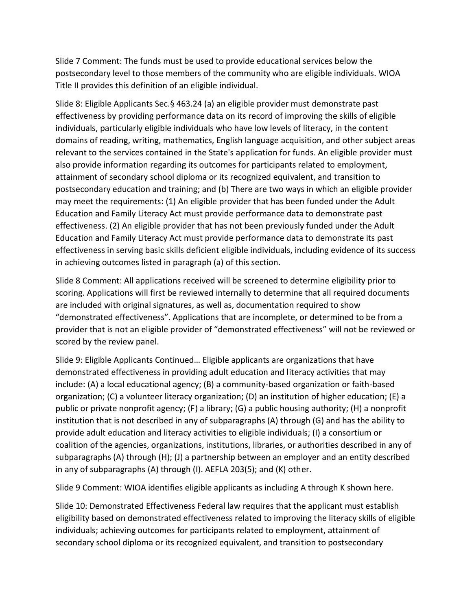Slide 7 Comment: The funds must be used to provide educational services below the postsecondary level to those members of the community who are eligible individuals. WIOA Title II provides this definition of an eligible individual.

Slide 8: Eligible Applicants Sec.§ 463.24 (a) an eligible provider must demonstrate past effectiveness by providing performance data on its record of improving the skills of eligible individuals, particularly eligible individuals who have low levels of literacy, in the content domains of reading, writing, mathematics, English language acquisition, and other subject areas relevant to the services contained in the State's application for funds. An eligible provider must also provide information regarding its outcomes for participants related to employment, attainment of secondary school diploma or its recognized equivalent, and transition to postsecondary education and training; and (b) There are two ways in which an eligible provider may meet the requirements: (1) An eligible provider that has been funded under the Adult Education and Family Literacy Act must provide performance data to demonstrate past effectiveness. (2) An eligible provider that has not been previously funded under the Adult Education and Family Literacy Act must provide performance data to demonstrate its past effectiveness in serving basic skills deficient eligible individuals, including evidence of its success in achieving outcomes listed in paragraph (a) of this section.

Slide 8 Comment: All applications received will be screened to determine eligibility prior to scoring. Applications will first be reviewed internally to determine that all required documents are included with original signatures, as well as, documentation required to show "demonstrated effectiveness". Applications that are incomplete, or determined to be from a provider that is not an eligible provider of "demonstrated effectiveness" will not be reviewed or scored by the review panel.

Slide 9: Eligible Applicants Continued… Eligible applicants are organizations that have demonstrated effectiveness in providing adult education and literacy activities that may include: (A) a local educational agency; (B) a community-based organization or faith-based organization; (C) a volunteer literacy organization; (D) an institution of higher education; (E) a public or private nonprofit agency; (F) a library; (G) a public housing authority; (H) a nonprofit institution that is not described in any of subparagraphs (A) through (G) and has the ability to provide adult education and literacy activities to eligible individuals; (I) a consortium or coalition of the agencies, organizations, institutions, libraries, or authorities described in any of subparagraphs (A) through (H); (J) a partnership between an employer and an entity described in any of subparagraphs (A) through (I). AEFLA 203(5); and (K) other.

Slide 9 Comment: WIOA identifies eligible applicants as including A through K shown here.

Slide 10: Demonstrated Effectiveness Federal law requires that the applicant must establish eligibility based on demonstrated effectiveness related to improving the literacy skills of eligible individuals; achieving outcomes for participants related to employment, attainment of secondary school diploma or its recognized equivalent, and transition to postsecondary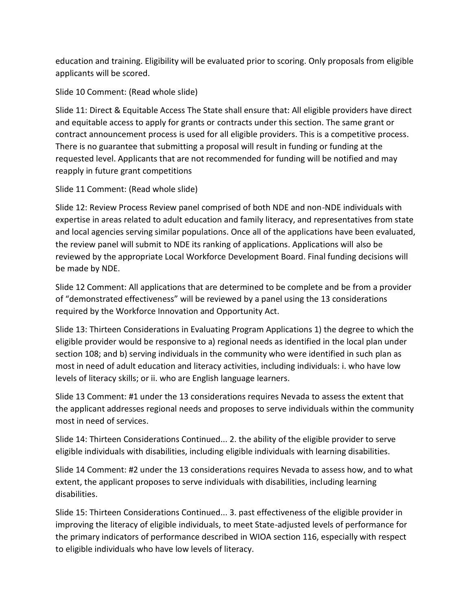education and training. Eligibility will be evaluated prior to scoring. Only proposals from eligible applicants will be scored.

Slide 10 Comment: (Read whole slide)

Slide 11: Direct & Equitable Access The State shall ensure that: All eligible providers have direct and equitable access to apply for grants or contracts under this section. The same grant or contract announcement process is used for all eligible providers. This is a competitive process. There is no guarantee that submitting a proposal will result in funding or funding at the requested level. Applicants that are not recommended for funding will be notified and may reapply in future grant competitions

Slide 11 Comment: (Read whole slide)

Slide 12: Review Process Review panel comprised of both NDE and non-NDE individuals with expertise in areas related to adult education and family literacy, and representatives from state and local agencies serving similar populations. Once all of the applications have been evaluated, the review panel will submit to NDE its ranking of applications. Applications will also be reviewed by the appropriate Local Workforce Development Board. Final funding decisions will be made by NDE.

Slide 12 Comment: All applications that are determined to be complete and be from a provider of "demonstrated effectiveness" will be reviewed by a panel using the 13 considerations required by the Workforce Innovation and Opportunity Act.

Slide 13: Thirteen Considerations in Evaluating Program Applications 1) the degree to which the eligible provider would be responsive to a) regional needs as identified in the local plan under section 108; and b) serving individuals in the community who were identified in such plan as most in need of adult education and literacy activities, including individuals: i. who have low levels of literacy skills; or ii. who are English language learners.

Slide 13 Comment: #1 under the 13 considerations requires Nevada to assess the extent that the applicant addresses regional needs and proposes to serve individuals within the community most in need of services.

Slide 14: Thirteen Considerations Continued... 2. the ability of the eligible provider to serve eligible individuals with disabilities, including eligible individuals with learning disabilities.

Slide 14 Comment: #2 under the 13 considerations requires Nevada to assess how, and to what extent, the applicant proposes to serve individuals with disabilities, including learning disabilities.

Slide 15: Thirteen Considerations Continued... 3. past effectiveness of the eligible provider in improving the literacy of eligible individuals, to meet State-adjusted levels of performance for the primary indicators of performance described in WIOA section 116, especially with respect to eligible individuals who have low levels of literacy.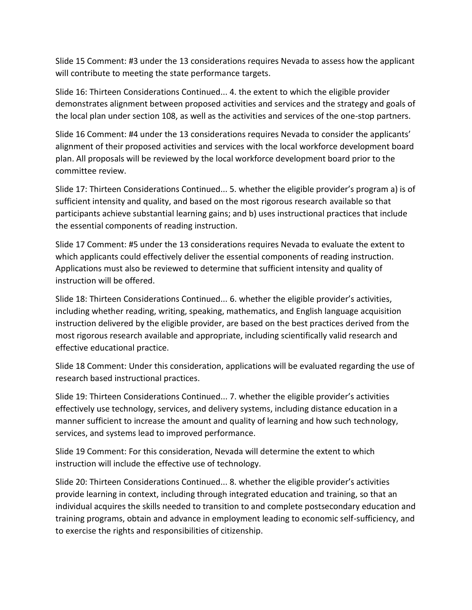Slide 15 Comment: #3 under the 13 considerations requires Nevada to assess how the applicant will contribute to meeting the state performance targets.

Slide 16: Thirteen Considerations Continued... 4. the extent to which the eligible provider demonstrates alignment between proposed activities and services and the strategy and goals of the local plan under section 108, as well as the activities and services of the one-stop partners.

Slide 16 Comment: #4 under the 13 considerations requires Nevada to consider the applicants' alignment of their proposed activities and services with the local workforce development board plan. All proposals will be reviewed by the local workforce development board prior to the committee review.

Slide 17: Thirteen Considerations Continued... 5. whether the eligible provider's program a) is of sufficient intensity and quality, and based on the most rigorous research available so that participants achieve substantial learning gains; and b) uses instructional practices that include the essential components of reading instruction.

Slide 17 Comment: #5 under the 13 considerations requires Nevada to evaluate the extent to which applicants could effectively deliver the essential components of reading instruction. Applications must also be reviewed to determine that sufficient intensity and quality of instruction will be offered.

Slide 18: Thirteen Considerations Continued... 6. whether the eligible provider's activities, including whether reading, writing, speaking, mathematics, and English language acquisition instruction delivered by the eligible provider, are based on the best practices derived from the most rigorous research available and appropriate, including scientifically valid research and effective educational practice.

Slide 18 Comment: Under this consideration, applications will be evaluated regarding the use of research based instructional practices.

Slide 19: Thirteen Considerations Continued... 7. whether the eligible provider's activities effectively use technology, services, and delivery systems, including distance education in a manner sufficient to increase the amount and quality of learning and how such technology, services, and systems lead to improved performance.

Slide 19 Comment: For this consideration, Nevada will determine the extent to which instruction will include the effective use of technology.

Slide 20: Thirteen Considerations Continued... 8. whether the eligible provider's activities provide learning in context, including through integrated education and training, so that an individual acquires the skills needed to transition to and complete postsecondary education and training programs, obtain and advance in employment leading to economic self-sufficiency, and to exercise the rights and responsibilities of citizenship.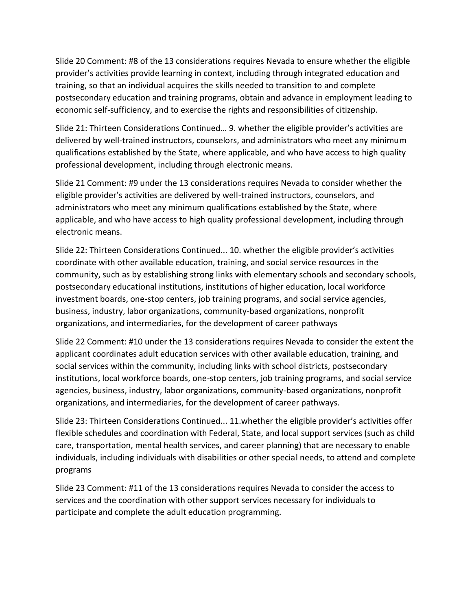Slide 20 Comment: #8 of the 13 considerations requires Nevada to ensure whether the eligible provider's activities provide learning in context, including through integrated education and training, so that an individual acquires the skills needed to transition to and complete postsecondary education and training programs, obtain and advance in employment leading to economic self-sufficiency, and to exercise the rights and responsibilities of citizenship.

Slide 21: Thirteen Considerations Continued… 9. whether the eligible provider's activities are delivered by well-trained instructors, counselors, and administrators who meet any minimum qualifications established by the State, where applicable, and who have access to high quality professional development, including through electronic means.

Slide 21 Comment: #9 under the 13 considerations requires Nevada to consider whether the eligible provider's activities are delivered by well-trained instructors, counselors, and administrators who meet any minimum qualifications established by the State, where applicable, and who have access to high quality professional development, including through electronic means.

Slide 22: Thirteen Considerations Continued... 10. whether the eligible provider's activities coordinate with other available education, training, and social service resources in the community, such as by establishing strong links with elementary schools and secondary schools, postsecondary educational institutions, institutions of higher education, local workforce investment boards, one-stop centers, job training programs, and social service agencies, business, industry, labor organizations, community-based organizations, nonprofit organizations, and intermediaries, for the development of career pathways

Slide 22 Comment: #10 under the 13 considerations requires Nevada to consider the extent the applicant coordinates adult education services with other available education, training, and social services within the community, including links with school districts, postsecondary institutions, local workforce boards, one-stop centers, job training programs, and social service agencies, business, industry, labor organizations, community-based organizations, nonprofit organizations, and intermediaries, for the development of career pathways.

Slide 23: Thirteen Considerations Continued... 11.whether the eligible provider's activities offer flexible schedules and coordination with Federal, State, and local support services (such as child care, transportation, mental health services, and career planning) that are necessary to enable individuals, including individuals with disabilities or other special needs, to attend and complete programs

Slide 23 Comment: #11 of the 13 considerations requires Nevada to consider the access to services and the coordination with other support services necessary for individuals to participate and complete the adult education programming.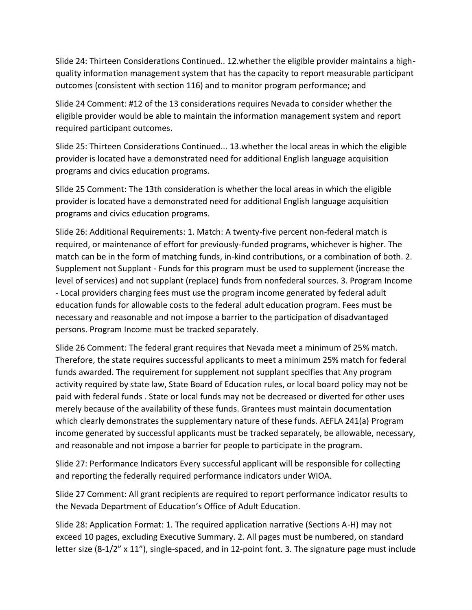Slide 24: Thirteen Considerations Continued.. 12.whether the eligible provider maintains a highquality information management system that has the capacity to report measurable participant outcomes (consistent with section 116) and to monitor program performance; and

Slide 24 Comment: #12 of the 13 considerations requires Nevada to consider whether the eligible provider would be able to maintain the information management system and report required participant outcomes.

Slide 25: Thirteen Considerations Continued... 13.whether the local areas in which the eligible provider is located have a demonstrated need for additional English language acquisition programs and civics education programs.

Slide 25 Comment: The 13th consideration is whether the local areas in which the eligible provider is located have a demonstrated need for additional English language acquisition programs and civics education programs.

Slide 26: Additional Requirements: 1. Match: A twenty-five percent non-federal match is required, or maintenance of effort for previously-funded programs, whichever is higher. The match can be in the form of matching funds, in-kind contributions, or a combination of both. 2. Supplement not Supplant - Funds for this program must be used to supplement (increase the level of services) and not supplant (replace) funds from nonfederal sources. 3. Program Income - Local providers charging fees must use the program income generated by federal adult education funds for allowable costs to the federal adult education program. Fees must be necessary and reasonable and not impose a barrier to the participation of disadvantaged persons. Program Income must be tracked separately.

Slide 26 Comment: The federal grant requires that Nevada meet a minimum of 25% match. Therefore, the state requires successful applicants to meet a minimum 25% match for federal funds awarded. The requirement for supplement not supplant specifies that Any program activity required by state law, State Board of Education rules, or local board policy may not be paid with federal funds . State or local funds may not be decreased or diverted for other uses merely because of the availability of these funds. Grantees must maintain documentation which clearly demonstrates the supplementary nature of these funds. AEFLA 241(a) Program income generated by successful applicants must be tracked separately, be allowable, necessary, and reasonable and not impose a barrier for people to participate in the program.

Slide 27: Performance Indicators Every successful applicant will be responsible for collecting and reporting the federally required performance indicators under WIOA.

Slide 27 Comment: All grant recipients are required to report performance indicator results to the Nevada Department of Education's Office of Adult Education.

Slide 28: Application Format: 1. The required application narrative (Sections A-H) may not exceed 10 pages, excluding Executive Summary. 2. All pages must be numbered, on standard letter size (8-1/2" x 11"), single-spaced, and in 12-point font. 3. The signature page must include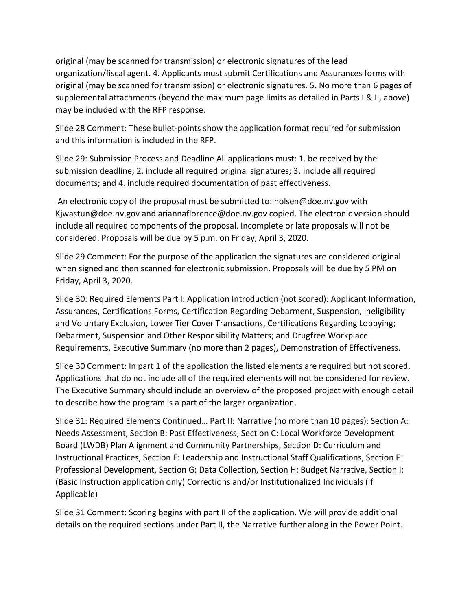original (may be scanned for transmission) or electronic signatures of the lead organization/fiscal agent. 4. Applicants must submit Certifications and Assurances forms with original (may be scanned for transmission) or electronic signatures. 5. No more than 6 pages of supplemental attachments (beyond the maximum page limits as detailed in Parts I & II, above) may be included with the RFP response.

Slide 28 Comment: These bullet-points show the application format required for submission and this information is included in the RFP.

Slide 29: Submission Process and Deadline All applications must: 1. be received by the submission deadline; 2. include all required original signatures; 3. include all required documents; and 4. include required documentation of past effectiveness.

An electronic copy of the proposal must be submitted to: nolsen@doe.nv.gov with Kjwastun@doe.nv.gov and ariannaflorence@doe.nv.gov copied. The electronic version should include all required components of the proposal. Incomplete or late proposals will not be considered. Proposals will be due by 5 p.m. on Friday, April 3, 2020.

Slide 29 Comment: For the purpose of the application the signatures are considered original when signed and then scanned for electronic submission. Proposals will be due by 5 PM on Friday, April 3, 2020.

Slide 30: Required Elements Part I: Application Introduction (not scored): Applicant Information, Assurances, Certifications Forms, Certification Regarding Debarment, Suspension, Ineligibility and Voluntary Exclusion, Lower Tier Cover Transactions, Certifications Regarding Lobbying; Debarment, Suspension and Other Responsibility Matters; and Drugfree Workplace Requirements, Executive Summary (no more than 2 pages), Demonstration of Effectiveness.

Slide 30 Comment: In part 1 of the application the listed elements are required but not scored. Applications that do not include all of the required elements will not be considered for review. The Executive Summary should include an overview of the proposed project with enough detail to describe how the program is a part of the larger organization.

Slide 31: Required Elements Continued… Part II: Narrative (no more than 10 pages): Section A: Needs Assessment, Section B: Past Effectiveness, Section C: Local Workforce Development Board (LWDB) Plan Alignment and Community Partnerships, Section D: Curriculum and Instructional Practices, Section E: Leadership and Instructional Staff Qualifications, Section F: Professional Development, Section G: Data Collection, Section H: Budget Narrative, Section I: (Basic Instruction application only) Corrections and/or Institutionalized Individuals (If Applicable)

Slide 31 Comment: Scoring begins with part II of the application. We will provide additional details on the required sections under Part II, the Narrative further along in the Power Point.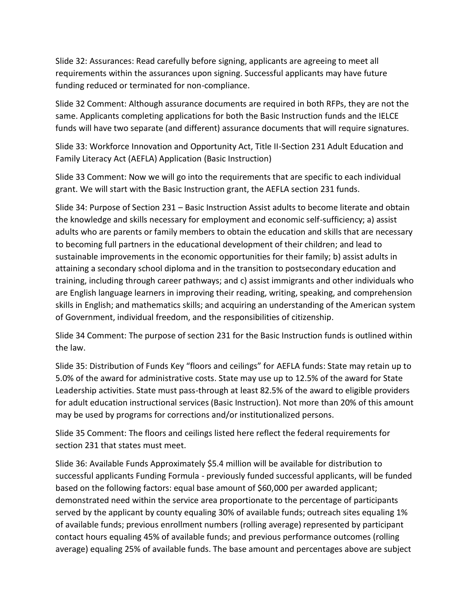Slide 32: Assurances: Read carefully before signing, applicants are agreeing to meet all requirements within the assurances upon signing. Successful applicants may have future funding reduced or terminated for non-compliance.

Slide 32 Comment: Although assurance documents are required in both RFPs, they are not the same. Applicants completing applications for both the Basic Instruction funds and the IELCE funds will have two separate (and different) assurance documents that will require signatures.

Slide 33: Workforce Innovation and Opportunity Act, Title II-Section 231 Adult Education and Family Literacy Act (AEFLA) Application (Basic Instruction)

Slide 33 Comment: Now we will go into the requirements that are specific to each individual grant. We will start with the Basic Instruction grant, the AEFLA section 231 funds.

Slide 34: Purpose of Section 231 – Basic Instruction Assist adults to become literate and obtain the knowledge and skills necessary for employment and economic self-sufficiency; a) assist adults who are parents or family members to obtain the education and skills that are necessary to becoming full partners in the educational development of their children; and lead to sustainable improvements in the economic opportunities for their family; b) assist adults in attaining a secondary school diploma and in the transition to postsecondary education and training, including through career pathways; and c) assist immigrants and other individuals who are English language learners in improving their reading, writing, speaking, and comprehension skills in English; and mathematics skills; and acquiring an understanding of the American system of Government, individual freedom, and the responsibilities of citizenship.

Slide 34 Comment: The purpose of section 231 for the Basic Instruction funds is outlined within the law.

Slide 35: Distribution of Funds Key "floors and ceilings" for AEFLA funds: State may retain up to 5.0% of the award for administrative costs. State may use up to 12.5% of the award for State Leadership activities. State must pass-through at least 82.5% of the award to eligible providers for adult education instructional services (Basic Instruction). Not more than 20% of this amount may be used by programs for corrections and/or institutionalized persons.

Slide 35 Comment: The floors and ceilings listed here reflect the federal requirements for section 231 that states must meet.

Slide 36: Available Funds Approximately \$5.4 million will be available for distribution to successful applicants Funding Formula - previously funded successful applicants, will be funded based on the following factors: equal base amount of \$60,000 per awarded applicant; demonstrated need within the service area proportionate to the percentage of participants served by the applicant by county equaling 30% of available funds; outreach sites equaling 1% of available funds; previous enrollment numbers (rolling average) represented by participant contact hours equaling 45% of available funds; and previous performance outcomes (rolling average) equaling 25% of available funds. The base amount and percentages above are subject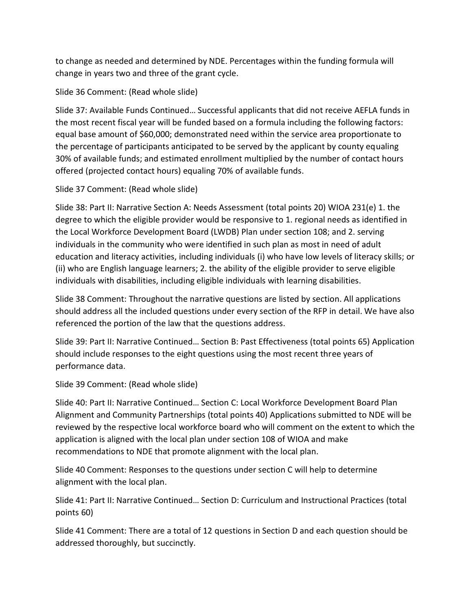to change as needed and determined by NDE. Percentages within the funding formula will change in years two and three of the grant cycle.

Slide 36 Comment: (Read whole slide)

Slide 37: Available Funds Continued… Successful applicants that did not receive AEFLA funds in the most recent fiscal year will be funded based on a formula including the following factors: equal base amount of \$60,000; demonstrated need within the service area proportionate to the percentage of participants anticipated to be served by the applicant by county equaling 30% of available funds; and estimated enrollment multiplied by the number of contact hours offered (projected contact hours) equaling 70% of available funds.

Slide 37 Comment: (Read whole slide)

Slide 38: Part II: Narrative Section A: Needs Assessment (total points 20) WIOA 231(e) 1. the degree to which the eligible provider would be responsive to 1. regional needs as identified in the Local Workforce Development Board (LWDB) Plan under section 108; and 2. serving individuals in the community who were identified in such plan as most in need of adult education and literacy activities, including individuals (i) who have low levels of literacy skills; or (ii) who are English language learners; 2. the ability of the eligible provider to serve eligible individuals with disabilities, including eligible individuals with learning disabilities.

Slide 38 Comment: Throughout the narrative questions are listed by section. All applications should address all the included questions under every section of the RFP in detail. We have also referenced the portion of the law that the questions address.

Slide 39: Part II: Narrative Continued… Section B: Past Effectiveness (total points 65) Application should include responses to the eight questions using the most recent three years of performance data.

Slide 39 Comment: (Read whole slide)

Slide 40: Part II: Narrative Continued… Section C: Local Workforce Development Board Plan Alignment and Community Partnerships (total points 40) Applications submitted to NDE will be reviewed by the respective local workforce board who will comment on the extent to which the application is aligned with the local plan under section 108 of WIOA and make recommendations to NDE that promote alignment with the local plan.

Slide 40 Comment: Responses to the questions under section C will help to determine alignment with the local plan.

Slide 41: Part II: Narrative Continued… Section D: Curriculum and Instructional Practices (total points 60)

Slide 41 Comment: There are a total of 12 questions in Section D and each question should be addressed thoroughly, but succinctly.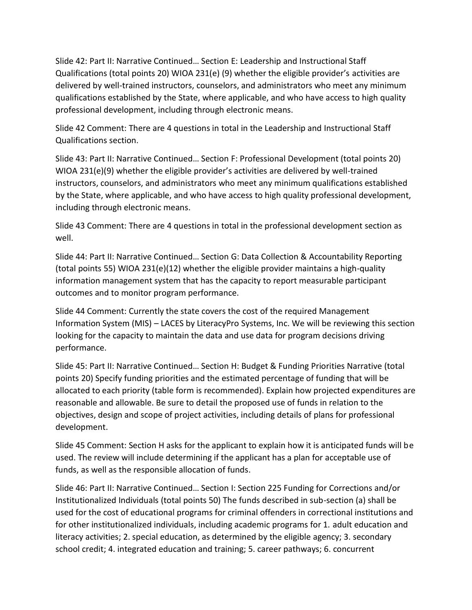Slide 42: Part II: Narrative Continued… Section E: Leadership and Instructional Staff Qualifications (total points 20) WIOA 231(e) (9) whether the eligible provider's activities are delivered by well-trained instructors, counselors, and administrators who meet any minimum qualifications established by the State, where applicable, and who have access to high quality professional development, including through electronic means.

Slide 42 Comment: There are 4 questions in total in the Leadership and Instructional Staff Qualifications section.

Slide 43: Part II: Narrative Continued… Section F: Professional Development (total points 20) WIOA 231(e)(9) whether the eligible provider's activities are delivered by well-trained instructors, counselors, and administrators who meet any minimum qualifications established by the State, where applicable, and who have access to high quality professional development, including through electronic means.

Slide 43 Comment: There are 4 questions in total in the professional development section as well.

Slide 44: Part II: Narrative Continued… Section G: Data Collection & Accountability Reporting (total points 55) WIOA 231(e)(12) whether the eligible provider maintains a high-quality information management system that has the capacity to report measurable participant outcomes and to monitor program performance.

Slide 44 Comment: Currently the state covers the cost of the required Management Information System (MIS) – LACES by LiteracyPro Systems, Inc. We will be reviewing this section looking for the capacity to maintain the data and use data for program decisions driving performance.

Slide 45: Part II: Narrative Continued… Section H: Budget & Funding Priorities Narrative (total points 20) Specify funding priorities and the estimated percentage of funding that will be allocated to each priority (table form is recommended). Explain how projected expenditures are reasonable and allowable. Be sure to detail the proposed use of funds in relation to the objectives, design and scope of project activities, including details of plans for professional development.

Slide 45 Comment: Section H asks for the applicant to explain how it is anticipated funds will be used. The review will include determining if the applicant has a plan for acceptable use of funds, as well as the responsible allocation of funds.

Slide 46: Part II: Narrative Continued… Section I: Section 225 Funding for Corrections and/or Institutionalized Individuals (total points 50) The funds described in sub-section (a) shall be used for the cost of educational programs for criminal offenders in correctional institutions and for other institutionalized individuals, including academic programs for 1. adult education and literacy activities; 2. special education, as determined by the eligible agency; 3. secondary school credit; 4. integrated education and training; 5. career pathways; 6. concurrent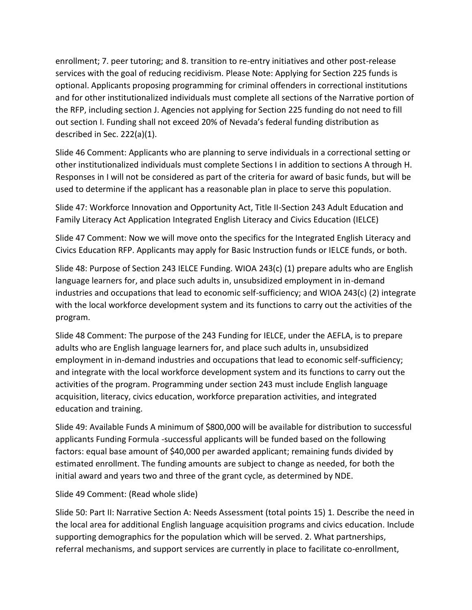enrollment; 7. peer tutoring; and 8. transition to re-entry initiatives and other post-release services with the goal of reducing recidivism. Please Note: Applying for Section 225 funds is optional. Applicants proposing programming for criminal offenders in correctional institutions and for other institutionalized individuals must complete all sections of the Narrative portion of the RFP, including section J. Agencies not applying for Section 225 funding do not need to fill out section I. Funding shall not exceed 20% of Nevada's federal funding distribution as described in Sec. 222(a)(1).

Slide 46 Comment: Applicants who are planning to serve individuals in a correctional setting or other institutionalized individuals must complete Sections I in addition to sections A through H. Responses in I will not be considered as part of the criteria for award of basic funds, but will be used to determine if the applicant has a reasonable plan in place to serve this population.

Slide 47: Workforce Innovation and Opportunity Act, Title II-Section 243 Adult Education and Family Literacy Act Application Integrated English Literacy and Civics Education (IELCE)

Slide 47 Comment: Now we will move onto the specifics for the Integrated English Literacy and Civics Education RFP. Applicants may apply for Basic Instruction funds or IELCE funds, or both.

Slide 48: Purpose of Section 243 IELCE Funding. WIOA 243(c) (1) prepare adults who are English language learners for, and place such adults in, unsubsidized employment in in-demand industries and occupations that lead to economic self-sufficiency; and WIOA 243(c) (2) integrate with the local workforce development system and its functions to carry out the activities of the program.

Slide 48 Comment: The purpose of the 243 Funding for IELCE, under the AEFLA, is to prepare adults who are English language learners for, and place such adults in, unsubsidized employment in in-demand industries and occupations that lead to economic self-sufficiency; and integrate with the local workforce development system and its functions to carry out the activities of the program. Programming under section 243 must include English language acquisition, literacy, civics education, workforce preparation activities, and integrated education and training.

Slide 49: Available Funds A minimum of \$800,000 will be available for distribution to successful applicants Funding Formula -successful applicants will be funded based on the following factors: equal base amount of \$40,000 per awarded applicant; remaining funds divided by estimated enrollment. The funding amounts are subject to change as needed, for both the initial award and years two and three of the grant cycle, as determined by NDE.

## Slide 49 Comment: (Read whole slide)

Slide 50: Part II: Narrative Section A: Needs Assessment (total points 15) 1. Describe the need in the local area for additional English language acquisition programs and civics education. Include supporting demographics for the population which will be served. 2. What partnerships, referral mechanisms, and support services are currently in place to facilitate co-enrollment,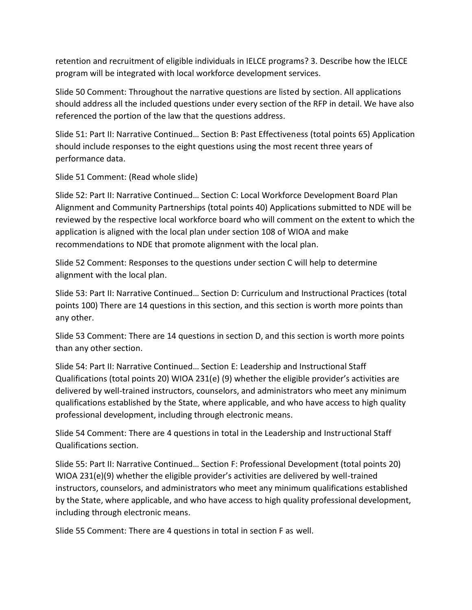retention and recruitment of eligible individuals in IELCE programs? 3. Describe how the IELCE program will be integrated with local workforce development services.

Slide 50 Comment: Throughout the narrative questions are listed by section. All applications should address all the included questions under every section of the RFP in detail. We have also referenced the portion of the law that the questions address.

Slide 51: Part II: Narrative Continued… Section B: Past Effectiveness (total points 65) Application should include responses to the eight questions using the most recent three years of performance data.

Slide 51 Comment: (Read whole slide)

Slide 52: Part II: Narrative Continued… Section C: Local Workforce Development Board Plan Alignment and Community Partnerships (total points 40) Applications submitted to NDE will be reviewed by the respective local workforce board who will comment on the extent to which the application is aligned with the local plan under section 108 of WIOA and make recommendations to NDE that promote alignment with the local plan.

Slide 52 Comment: Responses to the questions under section C will help to determine alignment with the local plan.

Slide 53: Part II: Narrative Continued… Section D: Curriculum and Instructional Practices (total points 100) There are 14 questions in this section, and this section is worth more points than any other.

Slide 53 Comment: There are 14 questions in section D, and this section is worth more points than any other section.

Slide 54: Part II: Narrative Continued… Section E: Leadership and Instructional Staff Qualifications (total points 20) WIOA 231(e) (9) whether the eligible provider's activities are delivered by well-trained instructors, counselors, and administrators who meet any minimum qualifications established by the State, where applicable, and who have access to high quality professional development, including through electronic means.

Slide 54 Comment: There are 4 questions in total in the Leadership and Instructional Staff Qualifications section.

Slide 55: Part II: Narrative Continued… Section F: Professional Development (total points 20) WIOA 231(e)(9) whether the eligible provider's activities are delivered by well-trained instructors, counselors, and administrators who meet any minimum qualifications established by the State, where applicable, and who have access to high quality professional development, including through electronic means.

Slide 55 Comment: There are 4 questions in total in section F as well.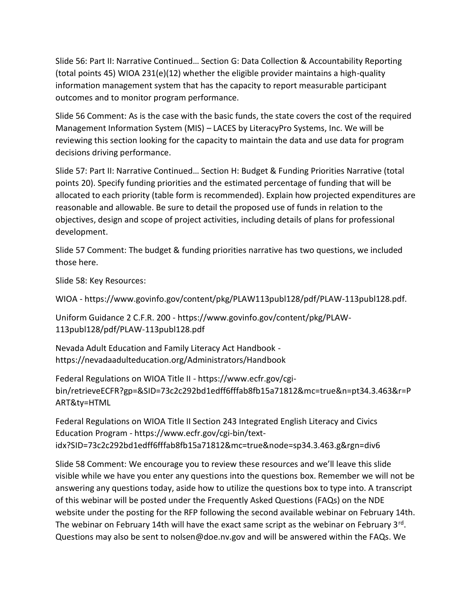Slide 56: Part II: Narrative Continued… Section G: Data Collection & Accountability Reporting (total points 45) WIOA 231(e) $(12)$  whether the eligible provider maintains a high-quality information management system that has the capacity to report measurable participant outcomes and to monitor program performance.

Slide 56 Comment: As is the case with the basic funds, the state covers the cost of the required Management Information System (MIS) – LACES by LiteracyPro Systems, Inc. We will be reviewing this section looking for the capacity to maintain the data and use data for program decisions driving performance.

Slide 57: Part II: Narrative Continued… Section H: Budget & Funding Priorities Narrative (total points 20). Specify funding priorities and the estimated percentage of funding that will be allocated to each priority (table form is recommended). Explain how projected expenditures are reasonable and allowable. Be sure to detail the proposed use of funds in relation to the objectives, design and scope of project activities, including details of plans for professional development.

Slide 57 Comment: The budget & funding priorities narrative has two questions, we included those here.

Slide 58: Key Resources:

WIOA - https://www.govinfo.gov/content/pkg/PLAW113publ128/pdf/PLAW-113publ128.pdf.

Uniform Guidance 2 C.F.R. 200 - https://www.govinfo.gov/content/pkg/PLAW-113publ128/pdf/PLAW-113publ128.pdf

Nevada Adult Education and Family Literacy Act Handbook https://nevadaadulteducation.org/Administrators/Handbook

Federal Regulations on WIOA Title II - https://www.ecfr.gov/cgibin/retrieveECFR?gp=&SID=73c2c292bd1edff6fffab8fb15a71812&mc=true&n=pt34.3.463&r=P ART&ty=HTML

Federal Regulations on WIOA Title II Section 243 Integrated English Literacy and Civics Education Program - https://www.ecfr.gov/cgi-bin/textidx?SID=73c2c292bd1edff6fffab8fb15a71812&mc=true&node=sp34.3.463.g&rgn=div6

Slide 58 Comment: We encourage you to review these resources and we'll leave this slide visible while we have you enter any questions into the questions box. Remember we will not be answering any questions today, aside how to utilize the questions box to type into. A transcript of this webinar will be posted under the Frequently Asked Questions (FAQs) on the NDE website under the posting for the RFP following the second available webinar on February 14th. The webinar on February 14th will have the exact same script as the webinar on February 3<sup>rd</sup>. Questions may also be sent to nolsen@doe.nv.gov and will be answered within the FAQs. We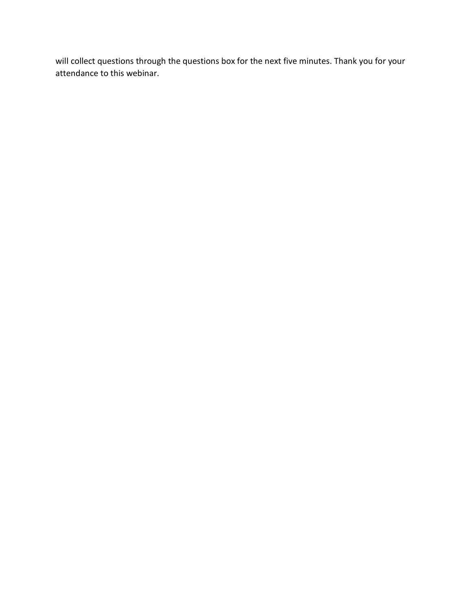will collect questions through the questions box for the next five minutes. Thank you for your attendance to this webinar.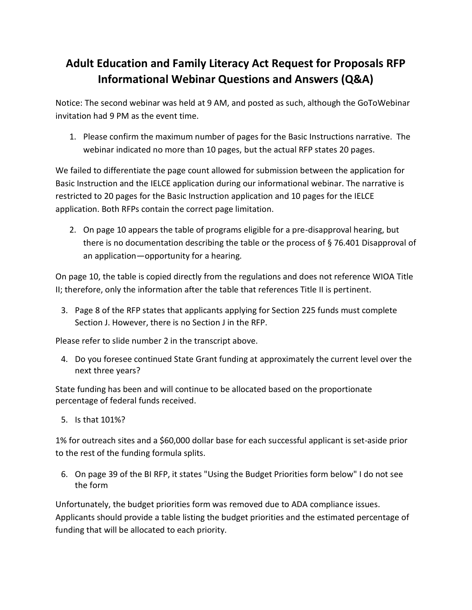## **Adult Education and Family Literacy Act Request for Proposals RFP Informational Webinar Questions and Answers (Q&A)**

Notice: The second webinar was held at 9 AM, and posted as such, although the GoToWebinar invitation had 9 PM as the event time.

1. Please confirm the maximum number of pages for the Basic Instructions narrative. The webinar indicated no more than 10 pages, but the actual RFP states 20 pages.

We failed to differentiate the page count allowed for submission between the application for Basic Instruction and the IELCE application during our informational webinar. The narrative is restricted to 20 pages for the Basic Instruction application and 10 pages for the IELCE application. Both RFPs contain the correct page limitation.

2. On page 10 appears the table of programs eligible for a pre-disapproval hearing, but there is no documentation describing the table or the process of § 76.401 Disapproval of an application—opportunity for a hearing.

On page 10, the table is copied directly from the regulations and does not reference WIOA Title II; therefore, only the information after the table that references Title II is pertinent.

3. Page 8 of the RFP states that applicants applying for Section 225 funds must complete Section J. However, there is no Section J in the RFP.

Please refer to slide number 2 in the transcript above.

4. Do you foresee continued State Grant funding at approximately the current level over the next three years?

State funding has been and will continue to be allocated based on the proportionate percentage of federal funds received.

5. Is that 101%?

1% for outreach sites and a \$60,000 dollar base for each successful applicant is set-aside prior to the rest of the funding formula splits.

6. On page 39 of the BI RFP, it states "Using the Budget Priorities form below" I do not see the form

Unfortunately, the budget priorities form was removed due to ADA compliance issues. Applicants should provide a table listing the budget priorities and the estimated percentage of funding that will be allocated to each priority.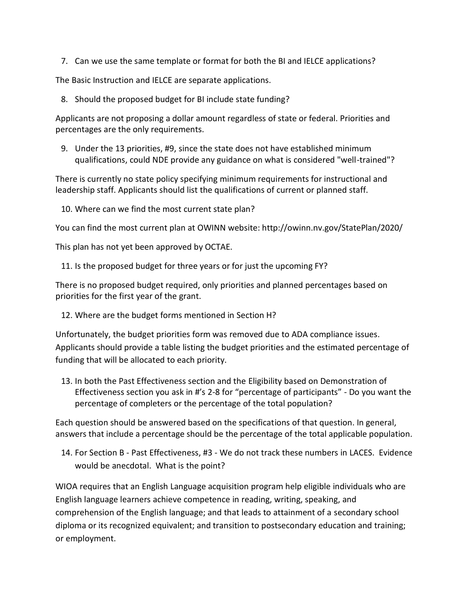7. Can we use the same template or format for both the BI and IELCE applications?

The Basic Instruction and IELCE are separate applications.

8. Should the proposed budget for BI include state funding?

Applicants are not proposing a dollar amount regardless of state or federal. Priorities and percentages are the only requirements.

9. Under the 13 priorities, #9, since the state does not have established minimum qualifications, could NDE provide any guidance on what is considered "well-trained"?

There is currently no state policy specifying minimum requirements for instructional and leadership staff. Applicants should list the qualifications of current or planned staff.

10. Where can we find the most current state plan?

You can find the most current plan at OWINN website: http://owinn.nv.gov/StatePlan/2020/

This plan has not yet been approved by OCTAE.

11. Is the proposed budget for three years or for just the upcoming FY?

There is no proposed budget required, only priorities and planned percentages based on priorities for the first year of the grant.

12. Where are the budget forms mentioned in Section H?

Unfortunately, the budget priorities form was removed due to ADA compliance issues. Applicants should provide a table listing the budget priorities and the estimated percentage of funding that will be allocated to each priority.

13. In both the Past Effectiveness section and the Eligibility based on Demonstration of Effectiveness section you ask in #'s 2-8 for "percentage of participants" - Do you want the percentage of completers or the percentage of the total population?

Each question should be answered based on the specifications of that question. In general, answers that include a percentage should be the percentage of the total applicable population.

14. For Section B - Past Effectiveness, #3 - We do not track these numbers in LACES. Evidence would be anecdotal. What is the point?

WIOA requires that an English Language acquisition program help eligible individuals who are English language learners achieve competence in reading, writing, speaking, and comprehension of the English language; and that leads to attainment of a secondary school diploma or its recognized equivalent; and transition to postsecondary education and training; or employment.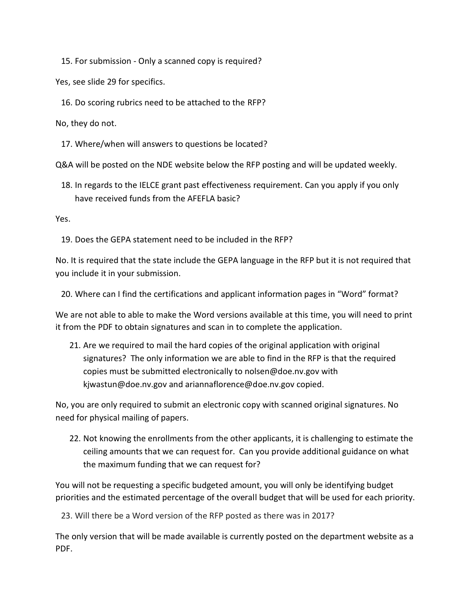15. For submission - Only a scanned copy is required?

Yes, see slide 29 for specifics.

16. Do scoring rubrics need to be attached to the RFP?

No, they do not.

17. Where/when will answers to questions be located?

Q&A will be posted on the NDE website below the RFP posting and will be updated weekly.

18. In regards to the IELCE grant past effectiveness requirement. Can you apply if you only have received funds from the AFEFLA basic?

Yes.

19. Does the GEPA statement need to be included in the RFP?

No. It is required that the state include the GEPA language in the RFP but it is not required that you include it in your submission.

20. Where can I find the certifications and applicant information pages in "Word" format?

We are not able to able to make the Word versions available at this time, you will need to print it from the PDF to obtain signatures and scan in to complete the application.

21. Are we required to mail the hard copies of the original application with original signatures? The only information we are able to find in the RFP is that the required copies must be submitted electronically to nolsen@doe.nv.gov with kjwastun@doe.nv.gov and ariannaflorence@doe.nv.gov copied.

No, you are only required to submit an electronic copy with scanned original signatures. No need for physical mailing of papers.

22. Not knowing the enrollments from the other applicants, it is challenging to estimate the ceiling amounts that we can request for. Can you provide additional guidance on what the maximum funding that we can request for?

You will not be requesting a specific budgeted amount, you will only be identifying budget priorities and the estimated percentage of the overall budget that will be used for each priority.

23. Will there be a Word version of the RFP posted as there was in 2017?

The only version that will be made available is currently posted on the department website as a PDF.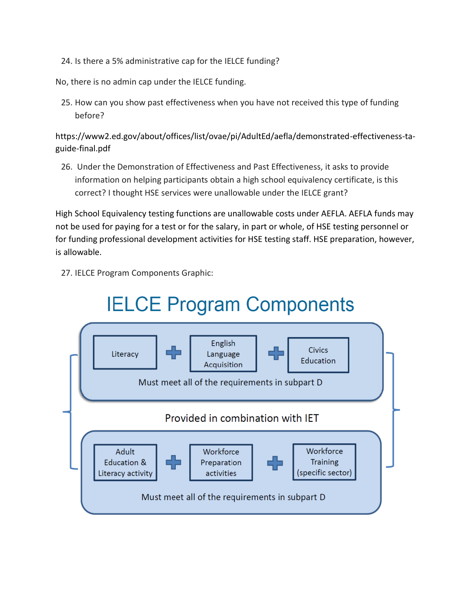24. Is there a 5% administrative cap for the IELCE funding?

No, there is no admin cap under the IELCE funding.

25. How can you show past effectiveness when you have not received this type of funding before?

https://www2.ed.gov/about/offices/list/ovae/pi/AdultEd/aefla/demonstrated-effectiveness-taguide-final.pdf

26. Under the Demonstration of Effectiveness and Past Effectiveness, it asks to provide information on helping participants obtain a high school equivalency certificate, is this correct? I thought HSE services were unallowable under the IELCE grant?

High School Equivalency testing functions are unallowable costs under AEFLA. AEFLA funds may not be used for paying for a test or for the salary, in part or whole, of HSE testing personnel or for funding professional development activities for HSE testing staff. HSE preparation, however, is allowable.

27. IELCE Program Components Graphic: